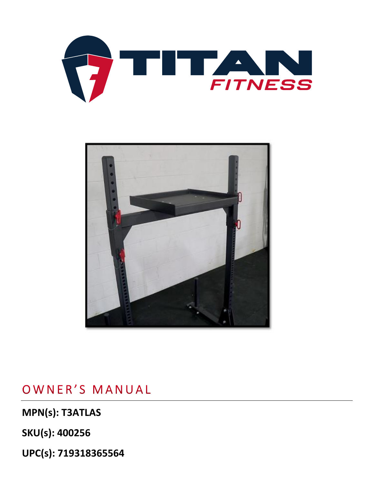



## OWNER'S MANUAL

**MPN(s): T3ATLAS**

**SKU(s): 400256**

**UPC(s): 719318365564**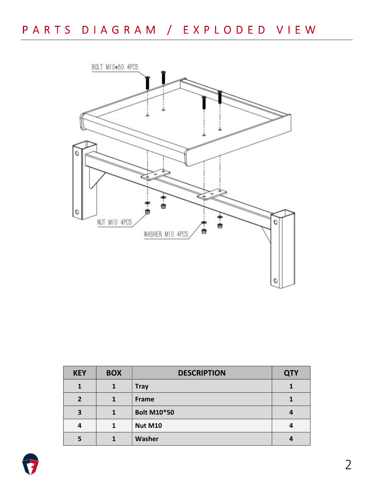

| <b>KEY</b> | <b>BOX</b> | <b>DESCRIPTION</b> | <b>QTY</b> |
|------------|------------|--------------------|------------|
|            | 1          | <b>Tray</b>        |            |
|            |            | Frame              |            |
| 3          |            | <b>Bolt M10*50</b> |            |
| 4          |            | <b>Nut M10</b>     |            |
|            |            | Washer             |            |